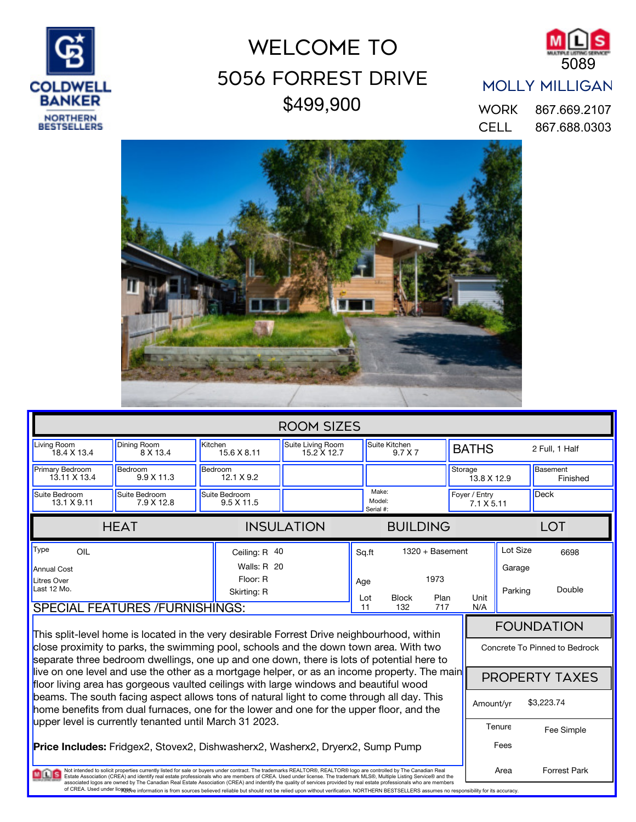

## \$499,900 5056 Forrest Drive WELCOME TO



## MOLLY MILLIGAN

CELL 867.688.0303 WORK 867.669.2107



| <b>ROOM SIZES</b>                                                                                                                                                                                                                                                                                                                                                                                                                                                                                                                 |                                |                                                            |                              |                              |                                           |                             |                        |                                                    |                      |  |
|-----------------------------------------------------------------------------------------------------------------------------------------------------------------------------------------------------------------------------------------------------------------------------------------------------------------------------------------------------------------------------------------------------------------------------------------------------------------------------------------------------------------------------------|--------------------------------|------------------------------------------------------------|------------------------------|------------------------------|-------------------------------------------|-----------------------------|------------------------|----------------------------------------------------|----------------------|--|
| Living Room<br>18.4 X 13.4                                                                                                                                                                                                                                                                                                                                                                                                                                                                                                        | <b>Dining Room</b><br>8 X 13.4 | Kitchen<br>Suite Living Room<br>15.6 X 8.11<br>15.2 X 12.7 |                              |                              | Suite Kitchen<br>$9.7 \times 7$           |                             | <b>BATHS</b>           |                                                    | 2 Full, 1 Half       |  |
| Primary Bedroom<br>13.11 X 13.4                                                                                                                                                                                                                                                                                                                                                                                                                                                                                                   | Bedroom<br>9.9 X 11.3          | Bedroom<br>12.1 X 9.2                                      |                              |                              |                                           |                             | Storage<br>13.8 X 12.9 |                                                    | Basement<br>Finished |  |
| Suite Bedroom<br>13.1 X 9.11                                                                                                                                                                                                                                                                                                                                                                                                                                                                                                      | Suite Bedroom<br>7.9 X 12.8    | Suite Bedroom<br>9.5 X 11.5                                |                              | Make:<br>Model:<br>Serial #: |                                           | Foyer / Entry<br>7.1 X 5.11 |                        | <b>Deck</b>                                        |                      |  |
| <b>HEAT</b>                                                                                                                                                                                                                                                                                                                                                                                                                                                                                                                       |                                |                                                            | <b>INSULATION</b>            |                              | <b>BUILDING</b>                           |                             |                        |                                                    | <b>LOT</b>           |  |
| Type<br>OIL<br><b>Annual Cost</b><br><b>Litres Over</b><br>Last 12 Mo.                                                                                                                                                                                                                                                                                                                                                                                                                                                            |                                | Floor: R<br>Skirting: R                                    | Ceiling: R 40<br>Walls: R 20 |                              | $1320 +$ Basement<br>Sa.ft<br>1973<br>Age |                             |                        | Lot Size<br>6698<br>Garage<br>Double<br>Parking    |                      |  |
| <b>Block</b><br>Lot<br><b>SPECIAL FEATURES /FURNISHINGS:</b><br>11<br>132                                                                                                                                                                                                                                                                                                                                                                                                                                                         |                                |                                                            |                              |                              |                                           | Plan<br>717                 | Unit<br>N/A            |                                                    |                      |  |
| This split-level home is located in the very desirable Forrest Drive neighbourhood, within<br>close proximity to parks, the swimming pool, schools and the down town area. With two<br>separate three bedroom dwellings, one up and one down, there is lots of potential here to                                                                                                                                                                                                                                                  |                                |                                                            |                              |                              |                                           |                             |                        | <b>FOUNDATION</b><br>Concrete To Pinned to Bedrock |                      |  |
| live on one level and use the other as a mortgage helper, or as an income property. The main<br>floor living area has gorgeous vaulted ceilings with large windows and beautiful wood                                                                                                                                                                                                                                                                                                                                             |                                |                                                            |                              |                              |                                           |                             |                        | <b>PROPERTY TAXES</b>                              |                      |  |
| beams. The south facing aspect allows tons of natural light to come through all day. This<br>home benefits from dual furnaces, one for the lower and one for the upper floor, and the                                                                                                                                                                                                                                                                                                                                             |                                |                                                            |                              |                              |                                           |                             | Amount/yr              |                                                    | \$3,223.74           |  |
| upper level is currently tenanted until March 31 2023.                                                                                                                                                                                                                                                                                                                                                                                                                                                                            |                                |                                                            |                              |                              |                                           |                             |                        | Tenure                                             | Fee Simple           |  |
| Price Includes: Fridgex2, Stovex2, Dishwasherx2, Washerx2, Dryerx2, Sump Pump                                                                                                                                                                                                                                                                                                                                                                                                                                                     |                                |                                                            |                              |                              |                                           |                             |                        | Fees                                               |                      |  |
| Not intended to solicit properties currently listed for sale or buyers under contract. The trademarks REALTOR®, REALTOR® logo are controlled by The Canadian Real<br><b>MILIS</b><br>Estate Association (CREA) and identify real estate professionals who are members of CREA. Used under license. The trademark MLS®, Multiple Listing Service® and the<br>associated logos are owned by The Canadian Real Estate Association (CREA) and indentify the quality of services provided by real estate professionals who are members |                                |                                                            |                              |                              |                                           |                             |                        | Area                                               | <b>Forrest Park</b>  |  |
| of CREA. Used under licotis winformation is from sources believed reliable but should not be relied upon without verification. NORTHERN BESTSELLERS assumes no responsibility for its accuracy.                                                                                                                                                                                                                                                                                                                                   |                                |                                                            |                              |                              |                                           |                             |                        |                                                    |                      |  |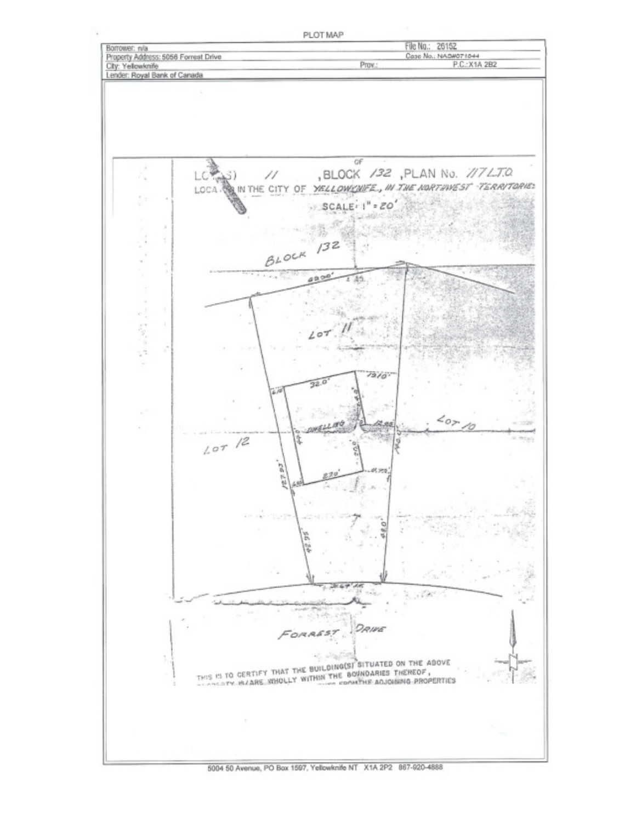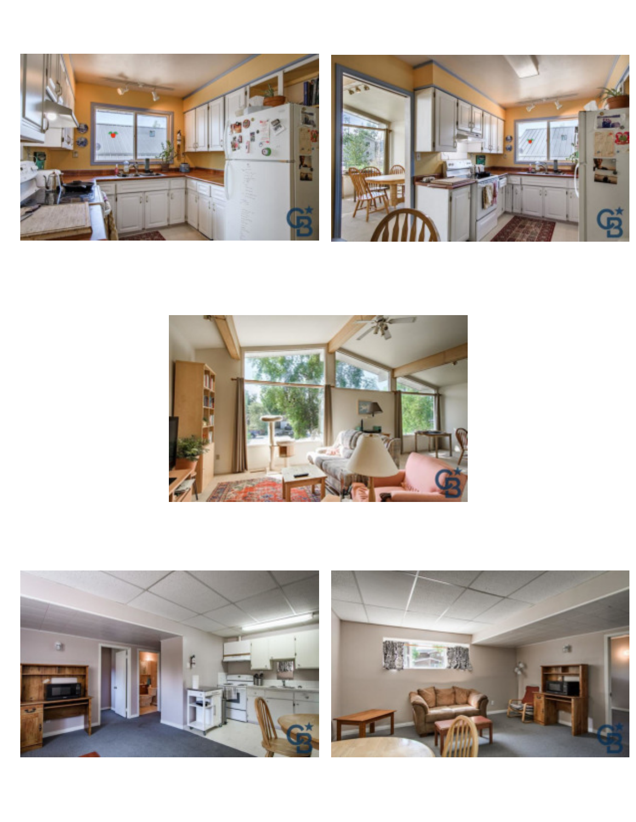